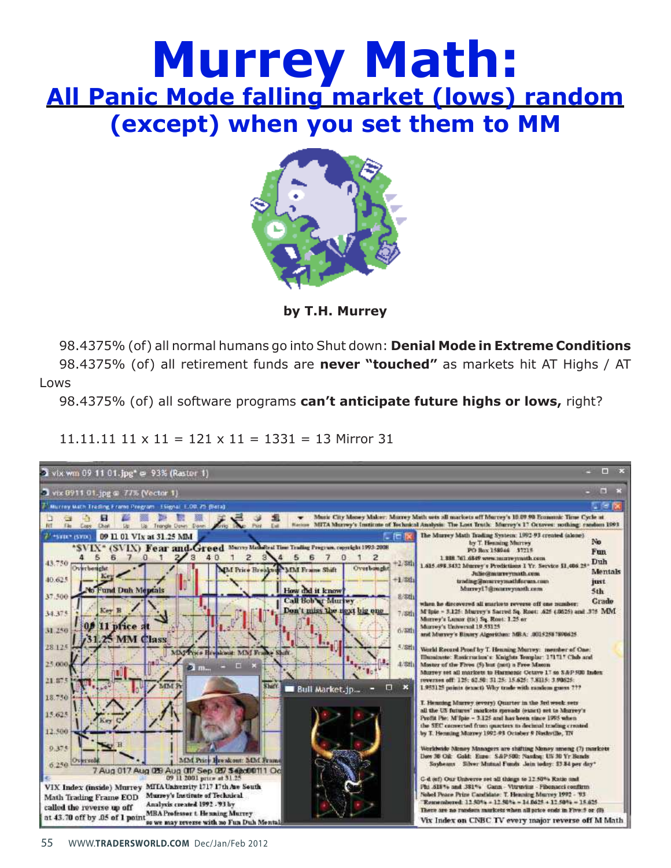# **Murrey Math: All Panic Mode falling market (lows) random (except) when you set them to MM**



**by T.H. Murrey** 

98.4375% (of) all normal humans go into Shut down: **Denial Mode in Extreme Conditions**

98.4375% (of) all retirement funds are **never "touched"** as markets hit AT Highs / AT Lows

98.4375% (of) all software programs **can't anticipate future highs or lows,** right?

### $11.11.11$   $11 \times 11 = 121 \times 11 = 1331 = 13$  Mirror 31

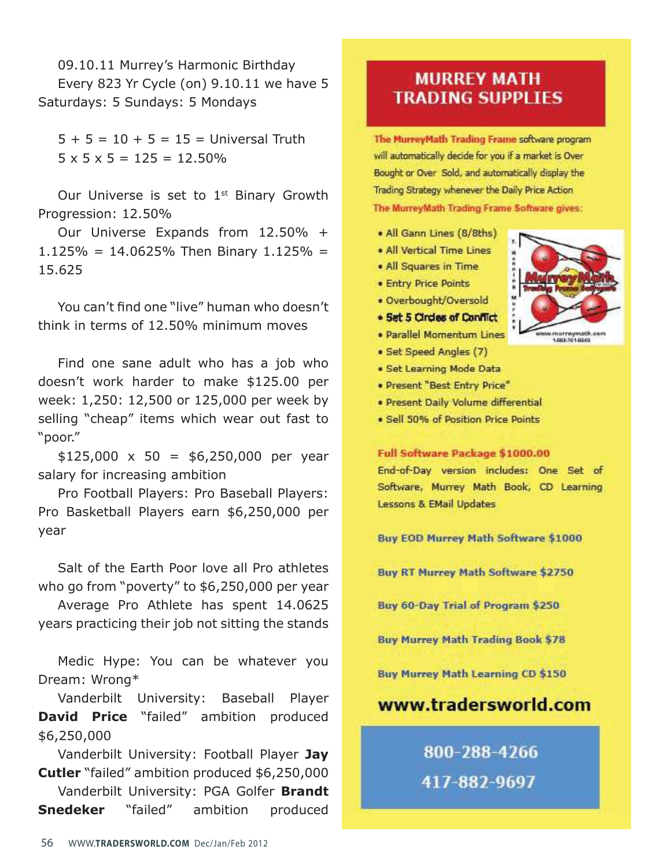09.10.11 Murrey's Harmonic Birthday Every 823 Yr Cycle (on) 9.10.11 we have 5 Saturdays: 5 Sundays: 5 Mondays

 $5 + 5 = 10 + 5 = 15 =$  Universal Truth  $5 \times 5 \times 5 = 125 = 12.50\%$ 

Our Universe is set to  $1<sup>st</sup>$  Binary Growth Progression: 12.50%

Our Universe Expands from 12.50% +  $1.125\% = 14.0625\%$  Then Binary  $1.125\% =$ 15.625

You can't find one "live" human who doesn't think in terms of 12.50% minimum moves

Find one sane adult who has a job who doesn't work harder to make \$125.00 per week: 1,250: 12,500 or 125,000 per week by selling "cheap" items which wear out fast to "poor."

 $$125,000 \times 50 = $6,250,000$  per year salary for increasing ambition

Pro Football Players: Pro Baseball Players: Pro Basketball Players earn \$6,250,000 per year

Salt of the Earth Poor love all Pro athletes who go from "poverty" to \$6,250,000 per year

Average Pro Athlete has spent 14.0625 years practicing their job not sitting the stands

Medic Hype: You can be whatever you Dream: Wrong\*

Vanderbilt University: Baseball Player **David Price** "failed" ambition produced \$6,250,000

Vanderbilt University: Football Player Jay **Cutler** "failed" ambition produced \$6,250,000

Vanderbilt University: PGA Golfer **Brandt Snedeker** "failed" ambition produced

### **MURREY MATH TRADING SUPPLIES**

The MurreyMath Trading Frame software program will automatically decide for you if a market is Over Bought or Over Sold, and automatically display the Trading Strategy whenever the Daily Price Action The MurreyMath Trading Frame Software gives:

- All Gann Lines (8/8ths)
- . All Vertical Time Lines
- . All Squares in Time
- **Entry Price Points**
- · Overbought/Oversold
- . Set 5 Circles of Conflict
- · Parallel Momentum Lines
- · Set Speed Angles (7)
- · Set Learning Mode Data
- · Present "Best Entry Price"
- · Present Daily Volume differential
- · Sell 50% of Position Price Points

#### Full Software Package \$1000.00

End-of-Day version includes: One Set of Software, Murrey Math Book, CD Learning **Lessons & EMail Updates** 

**Buy EOD Murrey Math Software \$1000** 

**Buy RT Murrey Math Software \$2750** 

Buy 60-Day Trial of Program \$250

**Buy Murrey Math Trading Book \$78** 

**Buy Murrey Math Learning CD \$150** 

### www.tradersworld.com

## 800-288-4266 417-882-9697

1093-7010040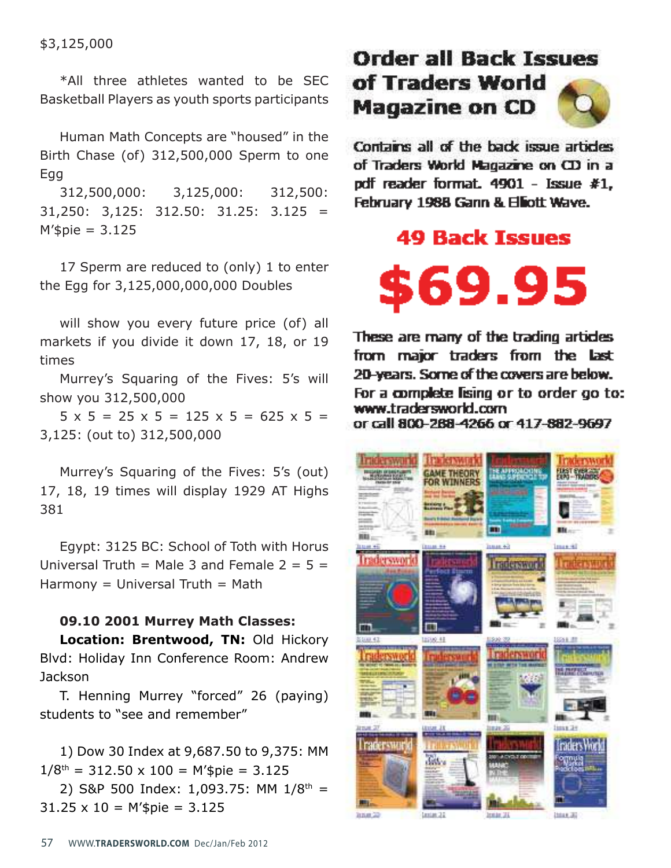\$3,125,000

\*All three athletes wanted to be SEC Basketball Players as youth sports participants

Human Math Concepts are "housed" in the Birth Chase (of) 312,500,000 Sperm to one **Egg** 

312,500,000: 3,125,000: 312,500:  $31,250$ :  $3,125$ :  $312.50$ :  $31.25$ :  $3.125 =$  $M$ '\$pie = 3.125

17 Sperm are reduced to (only) 1 to enter the Egg for 3,125,000,000,000 Doubles

will show you every future price (of) all markets if you divide it down 17, 18, or 19 times

Murrey's Squaring of the Fives: 5's will show you 312,500,000

 $5 \times 5 = 25 \times 5 = 125 \times 5 = 625 \times 5 =$ 3,125: (out to) 312,500,000

Murrey's Squaring of the Fives: 5's (out) 17, 18, 19 times will display 1929 AT Highs 381

Egypt: 3125 BC: School of Toth with Horus Universal Truth = Male 3 and Female  $2 = 5 =$  $Harmony = Universal Truth = Math$ 

#### **09.10 2001 Murrey Math Classes:**

**Location: Brentwood, TN:** Old Hickory Blvd: Holiday Inn Conference Room: Andrew Jackson

T. Henning Murrey "forced" 26 (paying) students to "see and remember"

1) Dow 30 Index at 9,687.50 to 9,375: MM  $1/8$ <sup>th</sup> = 312.50 x 100 = M'\$pie = 3.125

2) S&P 500 Index: 1,093.75: MM  $1/8^{th}$  =  $31.25 \times 10 = M$ '\$pie = 3.125

# **Order all Back Issues** of Traders World **Magazine on CD**

Contains all of the back issue articles of Traders World Magazine on CD in a pdf reader format. 4901 - Issue #1, February 1988 Gann & Elliott Wave.

### **49 Back Issues**



These are many of the trading articles from major traders from the last 20-years. Some of the covers are below. For a complete lising or to order go to: www.tradersworld.com or call 800-268-4266 or 417-882-9697

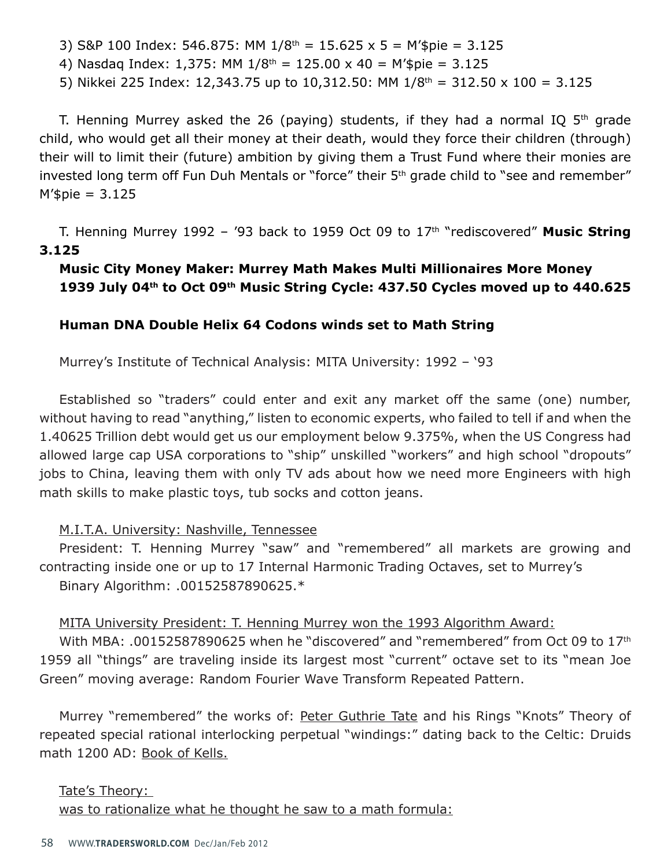3) S&P 100 Index: 546.875: MM  $1/8^{th} = 15.625 \times 5 = M's$ pie = 3.125

4) Nasdaq Index: 1,375: MM  $1/8^{th} = 125.00 \times 40 = M'spie = 3.125$ 

5) Nikkei 225 Index: 12,343.75 up to 10,312.50: MM  $1/8^{th} = 312.50 \times 100 = 3.125$ 

T. Henning Murrey asked the 26 (paying) students, if they had a normal IQ  $5<sup>th</sup>$  grade child, who would get all their money at their death, would they force their children (through) their will to limit their (future) ambition by giving them a Trust Fund where their monies are invested long term off Fun Duh Mentals or "force" their 5<sup>th</sup> grade child to "see and remember"  $M$ '\$pie = 3.125

T. Henning Murrey 1992 – '93 back to 1959 Oct 09 to 17th "rediscovered" **Music String 3.125**

**Music City Money Maker: Murrey Math Makes Multi Millionaires More Money** 1939 July 04<sup>th</sup> to Oct 09<sup>th</sup> Music String Cycle: 437.50 Cycles moved up to 440.625

### **Human DNA Double Helix 64 Codons winds set to Math String**

Murrey's Institute of Technical Analysis: MITA University: 1992 – '93

Established so "traders" could enter and exit any market off the same (one) number, without having to read "anything," listen to economic experts, who failed to tell if and when the 1.40625 Trillion debt would get us our employment below 9.375%, when the US Congress had allowed large cap USA corporations to "ship" unskilled "workers" and high school "dropouts" jobs to China, leaving them with only TV ads about how we need more Engineers with high math skills to make plastic toys, tub socks and cotton jeans.

### M.I.T.A. University: Nashville, Tennessee

President: T. Henning Murrey "saw" and "remembered" all markets are growing and contracting inside one or up to 17 Internal Harmonic Trading Octaves, set to Murrey's Binary Algorithm: .00152587890625.\*

#### MITA University President: T. Henning Murrey won the 1993 Algorithm Award:

With MBA: .00152587890625 when he "discovered" and "remembered" from Oct 09 to 17<sup>th</sup> 1959 all "things" are traveling inside its largest most "current" octave set to its "mean Joe Green" moving average: Random Fourier Wave Transform Repeated Pattern.

Murrey "remembered" the works of: Peter Guthrie Tate and his Rings "Knots" Theory of repeated special rational interlocking perpetual "windings:" dating back to the Celtic: Druids math 1200 AD: Book of Kells.

### Tate's Theory:

was to rationalize what he thought he saw to a math formula: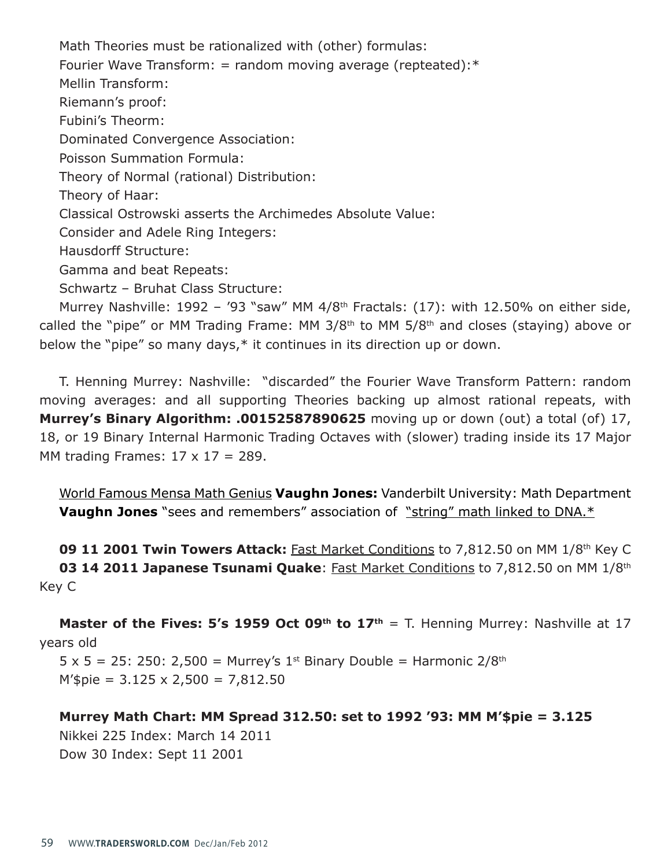Math Theories must be rationalized with (other) formulas: Fourier Wave Transform: = random moving average (repteated): $*$ Mellin Transform: Riemann's proof: Fubini's Theorm: Dominated Convergence Association: Poisson Summation Formula: Theory of Normal (rational) Distribution: Theory of Haar: Classical Ostrowski asserts the Archimedes Absolute Value: Consider and Adele Ring Integers: Hausdorff Structure: Gamma and beat Repeats: Schwartz – Bruhat Class Structure:

Murrey Nashville:  $1992 - 93$  "saw" MM  $4/8$ <sup>th</sup> Fractals: (17): with 12.50% on either side, called the "pipe" or MM Trading Frame: MM 3/8th to MM 5/8th and closes (staying) above or below the "pipe" so many days,\* it continues in its direction up or down.

T. Henning Murrey: Nashville: "discarded" the Fourier Wave Transform Pattern: random moving averages: and all supporting Theories backing up almost rational repeats, with **Murrey's Binary Algorithm: .00152587890625** moving up or down (out) a total (of) 17, 18, or 19 Binary Internal Harmonic Trading Octaves with (slower) trading inside its 17 Major MM trading Frames:  $17 \times 17 = 289$ .

World Famous Mensa Math Genius Vaughn Jones: Vanderbilt University: Math Department **Vaughn Jones** "sees and remembers" association of "string" math linked to DNA.\*

**09 11 2001 Twin Towers Attack:** Fast Market Conditions to 7,812.50 on MM 1/8th Key C **03 14 2011 Japanese Tsunami Quake: Fast Market Conditions to 7,812.50 on MM 1/8th** Key C

**Master of the Fives: 5's 1959 Oct 09<sup>th</sup> to 17<sup>th</sup> = T. Henning Murrey: Nashville at 17** years old

 $5 \times 5 = 25$ : 250: 2,500 = Murrey's 1<sup>st</sup> Binary Double = Harmonic 2/8<sup>th</sup>  $M$ '\$pie = 3.125 x 2,500 = 7,812.50

**Murrey Math Chart: MM Spread 312.50: set to 1992 '93: MM M'\$pie = 3.125** Nikkei 225 Index: March 14 2011 Dow 30 Index: Sept 11 2001